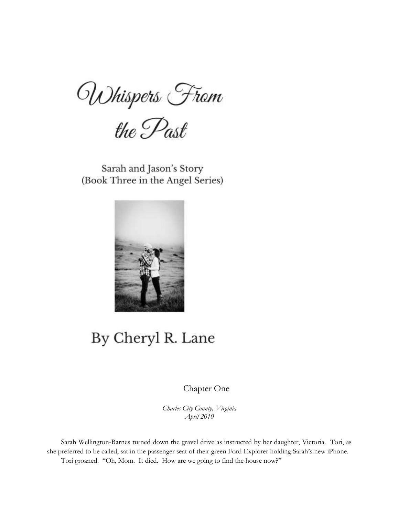Whispers From<br>the Past

Sarah and Jason's Story (Book Three in the Angel Series)



## By Cheryl R. Lane

## Chapter One

*Charles City County, Virginia April 2010*

Sarah Wellington-Barnes turned down the gravel drive as instructed by her daughter, Victoria. Tori, as she preferred to be called, sat in the passenger seat of their green Ford Explorer holding Sarah's new iPhone. Tori groaned. "Oh, Mom. It died. How are we going to find the house now?"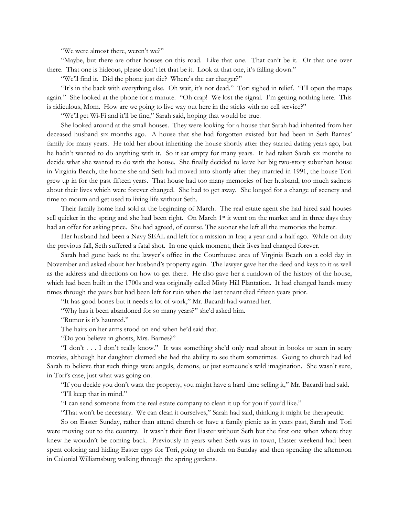"We were almost there, weren't we?"

"Maybe, but there are other houses on this road. Like that one. That can't be it. Or that one over there. That one is hideous, please don't let that be it. Look at that one, it's falling down."

"We'll find it. Did the phone just die? Where's the car charger?"

"It's in the back with everything else. Oh wait, it's not dead." Tori sighed in relief. "I'll open the maps again." She looked at the phone for a minute. "Oh crap! We lost the signal. I'm getting nothing here. This is ridiculous, Mom. How are we going to live way out here in the sticks with no cell service?"

"We'll get Wi-Fi and it'll be fine," Sarah said, hoping that would be true.

She looked around at the small houses. They were looking for a house that Sarah had inherited from her deceased husband six months ago. A house that she had forgotten existed but had been in Seth Barnes' family for many years. He told her about inheriting the house shortly after they started dating years ago, but he hadn't wanted to do anything with it. So it sat empty for many years. It had taken Sarah six months to decide what she wanted to do with the house. She finally decided to leave her big two-story suburban house in Virginia Beach, the home she and Seth had moved into shortly after they married in 1991, the house Tori grew up in for the past fifteen years. That house had too many memories of her husband, too much sadness about their lives which were forever changed. She had to get away. She longed for a change of scenery and time to mourn and get used to living life without Seth.

Their family home had sold at the beginning of March. The real estate agent she had hired said houses sell quicker in the spring and she had been right. On March 1st it went on the market and in three days they had an offer for asking price. She had agreed, of course. The sooner she left all the memories the better.

Her husband had been a Navy SEAL and left for a mission in Iraq a year-and-a-half ago. While on duty the previous fall, Seth suffered a fatal shot. In one quick moment, their lives had changed forever.

Sarah had gone back to the lawyer's office in the Courthouse area of Virginia Beach on a cold day in November and asked about her husband's property again. The lawyer gave her the deed and keys to it as well as the address and directions on how to get there. He also gave her a rundown of the history of the house, which had been built in the 1700s and was originally called Misty Hill Plantation. It had changed hands many times through the years but had been left for ruin when the last tenant died fifteen years prior.

"It has good bones but it needs a lot of work," Mr. Bacardi had warned her.

"Why has it been abandoned for so many years?" she'd asked him.

"Rumor is it's haunted."

The hairs on her arms stood on end when he'd said that.

"Do you believe in ghosts, Mrs. Barnes?"

"I don't . . . I don't really know." It was something she'd only read about in books or seen in scary movies, although her daughter claimed she had the ability to see them sometimes. Going to church had led Sarah to believe that such things were angels, demons, or just someone's wild imagination. She wasn't sure, in Tori's case, just what was going on.

"If you decide you don't want the property, you might have a hard time selling it," Mr. Bacardi had said. "I'll keep that in mind."

"I can send someone from the real estate company to clean it up for you if you'd like."

"That won't be necessary. We can clean it ourselves," Sarah had said, thinking it might be therapeutic.

So on Easter Sunday, rather than attend church or have a family picnic as in years past, Sarah and Tori were moving out to the country. It wasn't their first Easter without Seth but the first one when where they knew he wouldn't be coming back. Previously in years when Seth was in town, Easter weekend had been spent coloring and hiding Easter eggs for Tori, going to church on Sunday and then spending the afternoon in Colonial Williamsburg walking through the spring gardens.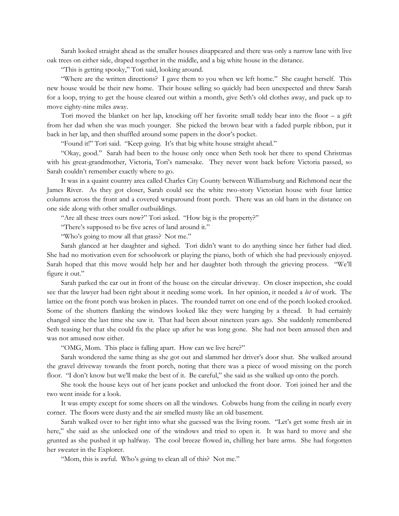Sarah looked straight ahead as the smaller houses disappeared and there was only a narrow lane with live oak trees on either side, draped together in the middle, and a big white house in the distance.

"This is getting spooky," Tori said, looking around.

"Where are the written directions? I gave them to you when we left home." She caught herself. This new house would be their new home. Their house selling so quickly had been unexpected and threw Sarah for a loop, trying to get the house cleared out within a month, give Seth's old clothes away, and pack up to move eighty-nine miles away.

Tori moved the blanket on her lap, knocking off her favorite small teddy bear into the floor – a gift from her dad when she was much younger. She picked the brown bear with a faded purple ribbon, put it back in her lap, and then shuffled around some papers in the door's pocket.

"Found it!" Tori said. "Keep going. It's that big white house straight ahead."

"Okay, good." Sarah had been to the house only once when Seth took her there to spend Christmas with his great-grandmother, Victoria, Tori's namesake. They never went back before Victoria passed, so Sarah couldn't remember exactly where to go.

It was in a quaint country area called Charles City County between Williamsburg and Richmond near the James River. As they got closer, Sarah could see the white two-story Victorian house with four lattice columns across the front and a covered wraparound front porch. There was an old barn in the distance on one side along with other smaller outbuildings.

"Are all these trees ours now?" Tori asked. "How big is the property?"

"There's supposed to be five acres of land around it."

"Who's going to mow all that grass? Not me."

Sarah glanced at her daughter and sighed. Tori didn't want to do anything since her father had died. She had no motivation even for schoolwork or playing the piano, both of which she had previously enjoyed. Sarah hoped that this move would help her and her daughter both through the grieving process. "We'll figure it out."

Sarah parked the car out in front of the house on the circular driveway. On closer inspection, she could see that the lawyer had been right about it needing some work. In her opinion, it needed a *lot* of work. The lattice on the front porch was broken in places. The rounded turret on one end of the porch looked crooked. Some of the shutters flanking the windows looked like they were hanging by a thread. It had certainly changed since the last time she saw it. That had been about nineteen years ago. She suddenly remembered Seth teasing her that she could fix the place up after he was long gone. She had not been amused then and was not amused now either.

"OMG, Mom. This place is falling apart. How can we live here?"

Sarah wondered the same thing as she got out and slammed her driver's door shut. She walked around the gravel driveway towards the front porch, noting that there was a piece of wood missing on the porch floor. "I don't know but we'll make the best of it. Be careful," she said as she walked up onto the porch.

She took the house keys out of her jeans pocket and unlocked the front door. Tori joined her and the two went inside for a look.

It was empty except for some sheers on all the windows. Cobwebs hung from the ceiling in nearly every corner. The floors were dusty and the air smelled musty like an old basement.

Sarah walked over to her right into what she guessed was the living room. "Let's get some fresh air in here," she said as she unlocked one of the windows and tried to open it. It was hard to move and she grunted as she pushed it up halfway. The cool breeze flowed in, chilling her bare arms. She had forgotten her sweater in the Explorer.

"Mom, this is awful. Who's going to clean all of this? Not me."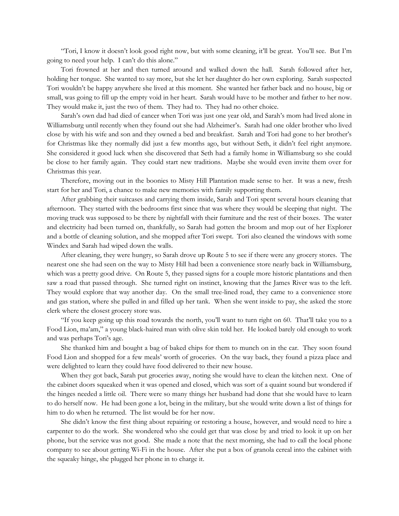"Tori, I know it doesn't look good right now, but with some cleaning, it'll be great. You'll see. But I'm going to need your help. I can't do this alone."

Tori frowned at her and then turned around and walked down the hall. Sarah followed after her, holding her tongue. She wanted to say more, but she let her daughter do her own exploring. Sarah suspected Tori wouldn't be happy anywhere she lived at this moment. She wanted her father back and no house, big or small, was going to fill up the empty void in her heart. Sarah would have to be mother and father to her now. They would make it, just the two of them. They had to. They had no other choice.

Sarah's own dad had died of cancer when Tori was just one year old, and Sarah's mom had lived alone in Williamsburg until recently when they found out she had Alzheimer's. Sarah had one older brother who lived close by with his wife and son and they owned a bed and breakfast. Sarah and Tori had gone to her brother's for Christmas like they normally did just a few months ago, but without Seth, it didn't feel right anymore. She considered it good luck when she discovered that Seth had a family home in Williamsburg so she could be close to her family again. They could start new traditions. Maybe she would even invite them over for Christmas this year.

Therefore, moving out in the boonies to Misty Hill Plantation made sense to her. It was a new, fresh start for her and Tori, a chance to make new memories with family supporting them.

After grabbing their suitcases and carrying them inside, Sarah and Tori spent several hours cleaning that afternoon. They started with the bedrooms first since that was where they would be sleeping that night. The moving truck was supposed to be there by nightfall with their furniture and the rest of their boxes. The water and electricity had been turned on, thankfully, so Sarah had gotten the broom and mop out of her Explorer and a bottle of cleaning solution, and she mopped after Tori swept. Tori also cleaned the windows with some Windex and Sarah had wiped down the walls.

After cleaning, they were hungry, so Sarah drove up Route 5 to see if there were any grocery stores. The nearest one she had seen on the way to Misty Hill had been a convenience store nearly back in Williamsburg, which was a pretty good drive. On Route 5, they passed signs for a couple more historic plantations and then saw a road that passed through. She turned right on instinct, knowing that the James River was to the left. They would explore that way another day. On the small tree-lined road, they came to a convenience store and gas station, where she pulled in and filled up her tank. When she went inside to pay, she asked the store clerk where the closest grocery store was.

"If you keep going up this road towards the north, you'll want to turn right on 60. That'll take you to a Food Lion, ma'am," a young black-haired man with olive skin told her. He looked barely old enough to work and was perhaps Tori's age.

She thanked him and bought a bag of baked chips for them to munch on in the car. They soon found Food Lion and shopped for a few meals' worth of groceries. On the way back, they found a pizza place and were delighted to learn they could have food delivered to their new house.

When they got back, Sarah put groceries away, noting she would have to clean the kitchen next. One of the cabinet doors squeaked when it was opened and closed, which was sort of a quaint sound but wondered if the hinges needed a little oil. There were so many things her husband had done that she would have to learn to do herself now. He had been gone a lot, being in the military, but she would write down a list of things for him to do when he returned. The list would be for her now.

She didn't know the first thing about repairing or restoring a house, however, and would need to hire a carpenter to do the work. She wondered who she could get that was close by and tried to look it up on her phone, but the service was not good. She made a note that the next morning, she had to call the local phone company to see about getting Wi-Fi in the house. After she put a box of granola cereal into the cabinet with the squeaky hinge, she plugged her phone in to charge it.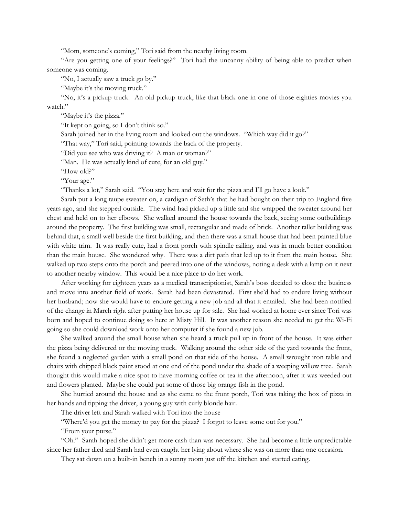"Mom, someone's coming," Tori said from the nearby living room.

"Are you getting one of your feelings?" Tori had the uncanny ability of being able to predict when someone was coming.

"No, I actually saw a truck go by."

"Maybe it's the moving truck."

"No, it's a pickup truck. An old pickup truck, like that black one in one of those eighties movies you watch."

"Maybe it's the pizza."

"It kept on going, so I don't think so."

Sarah joined her in the living room and looked out the windows. "Which way did it go?"

"That way," Tori said, pointing towards the back of the property.

"Did you see who was driving it? A man or woman?"

"Man. He was actually kind of cute, for an old guy."

"How old?"

"Your age."

"Thanks a lot," Sarah said. "You stay here and wait for the pizza and I'll go have a look."

Sarah put a long taupe sweater on, a cardigan of Seth's that he had bought on their trip to England five years ago, and she stepped outside. The wind had picked up a little and she wrapped the sweater around her chest and held on to her elbows. She walked around the house towards the back, seeing some outbuildings around the property. The first building was small, rectangular and made of brick. Another taller building was behind that, a small well beside the first building, and then there was a small house that had been painted blue with white trim. It was really cute, had a front porch with spindle railing, and was in much better condition than the main house. She wondered why. There was a dirt path that led up to it from the main house. She walked up two steps onto the porch and peered into one of the windows, noting a desk with a lamp on it next to another nearby window. This would be a nice place to do her work.

After working for eighteen years as a medical transcriptionist, Sarah's boss decided to close the business and move into another field of work. Sarah had been devastated. First she'd had to endure living without her husband; now she would have to endure getting a new job and all that it entailed. She had been notified of the change in March right after putting her house up for sale. She had worked at home ever since Tori was born and hoped to continue doing so here at Misty Hill. It was another reason she needed to get the Wi-Fi going so she could download work onto her computer if she found a new job.

She walked around the small house when she heard a truck pull up in front of the house. It was either the pizza being delivered or the moving truck. Walking around the other side of the yard towards the front, she found a neglected garden with a small pond on that side of the house. A small wrought iron table and chairs with chipped black paint stood at one end of the pond under the shade of a weeping willow tree. Sarah thought this would make a nice spot to have morning coffee or tea in the afternoon, after it was weeded out and flowers planted. Maybe she could put some of those big orange fish in the pond.

She hurried around the house and as she came to the front porch, Tori was taking the box of pizza in her hands and tipping the driver, a young guy with curly blonde hair.

The driver left and Sarah walked with Tori into the house

"Where'd you get the money to pay for the pizza? I forgot to leave some out for you."

"From your purse."

"Oh." Sarah hoped she didn't get more cash than was necessary. She had become a little unpredictable since her father died and Sarah had even caught her lying about where she was on more than one occasion.

They sat down on a built-in bench in a sunny room just off the kitchen and started eating.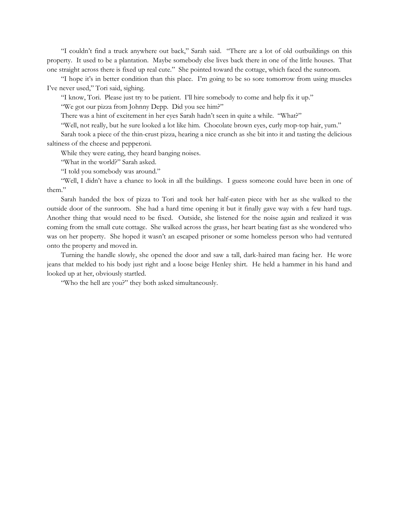"I couldn't find a truck anywhere out back," Sarah said. "There are a lot of old outbuildings on this property. It used to be a plantation. Maybe somebody else lives back there in one of the little houses. That one straight across there is fixed up real cute." She pointed toward the cottage, which faced the sunroom.

"I hope it's in better condition than this place. I'm going to be so sore tomorrow from using muscles I've never used," Tori said, sighing.

"I know, Tori. Please just try to be patient. I'll hire somebody to come and help fix it up."

"We got our pizza from Johnny Depp. Did you see him?"

There was a hint of excitement in her eyes Sarah hadn't seen in quite a while. "What?"

"Well, not really, but he sure looked a lot like him. Chocolate brown eyes, curly mop-top hair, yum."

Sarah took a piece of the thin-crust pizza, hearing a nice crunch as she bit into it and tasting the delicious saltiness of the cheese and pepperoni.

While they were eating, they heard banging noises.

"What in the world?" Sarah asked.

"I told you somebody was around."

"Well, I didn't have a chance to look in all the buildings. I guess someone could have been in one of them."

Sarah handed the box of pizza to Tori and took her half-eaten piece with her as she walked to the outside door of the sunroom. She had a hard time opening it but it finally gave way with a few hard tugs. Another thing that would need to be fixed. Outside, she listened for the noise again and realized it was coming from the small cute cottage. She walked across the grass, her heart beating fast as she wondered who was on her property. She hoped it wasn't an escaped prisoner or some homeless person who had ventured onto the property and moved in.

Turning the handle slowly, she opened the door and saw a tall, dark-haired man facing her. He wore jeans that melded to his body just right and a loose beige Henley shirt. He held a hammer in his hand and looked up at her, obviously startled.

"Who the hell are you?" they both asked simultaneously.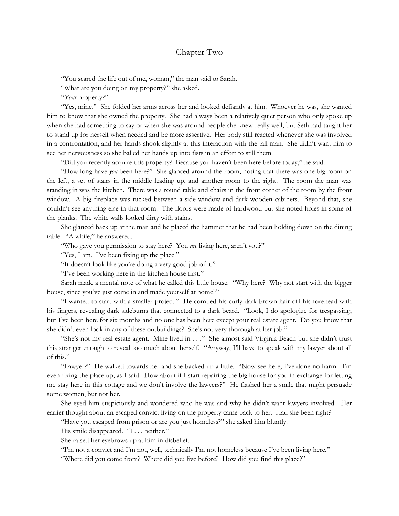## Chapter Two

"You scared the life out of me, woman," the man said to Sarah.

"What are you doing on my property?" she asked.

"*Your* property?"

"Yes, mine." She folded her arms across her and looked defiantly at him. Whoever he was, she wanted him to know that she owned the property. She had always been a relatively quiet person who only spoke up when she had something to say or when she was around people she knew really well, but Seth had taught her to stand up for herself when needed and be more assertive. Her body still reacted whenever she was involved in a confrontation, and her hands shook slightly at this interaction with the tall man. She didn't want him to see her nervousness so she balled her hands up into fists in an effort to still them.

"Did you recently acquire this property? Because you haven't been here before today," he said.

"How long have *you* been here?" She glanced around the room, noting that there was one big room on the left, a set of stairs in the middle leading up, and another room to the right. The room the man was standing in was the kitchen. There was a round table and chairs in the front corner of the room by the front window. A big fireplace was tucked between a side window and dark wooden cabinets. Beyond that, she couldn't see anything else in that room. The floors were made of hardwood but she noted holes in some of the planks. The white walls looked dirty with stains.

She glanced back up at the man and he placed the hammer that he had been holding down on the dining table. "A while," he answered.

"Who gave you permission to stay here? You *are* living here, aren't you?"

"Yes, I am. I've been fixing up the place."

"It doesn't look like you're doing a very good job of it."

"I've been working here in the kitchen house first."

Sarah made a mental note of what he called this little house. "Why here? Why not start with the bigger house, since you've just come in and made yourself at home?"

"I wanted to start with a smaller project." He combed his curly dark brown hair off his forehead with his fingers, revealing dark sideburns that connected to a dark beard. "Look, I do apologize for trespassing, but I've been here for six months and no one has been here except your real estate agent. Do you know that she didn't even look in any of these outbuildings? She's not very thorough at her job."

"She's not my real estate agent. Mine lived in . . ." She almost said Virginia Beach but she didn't trust this stranger enough to reveal too much about herself. "Anyway, I'll have to speak with my lawyer about all of this."

"Lawyer?" He walked towards her and she backed up a little. "Now see here, I've done no harm. I'm even fixing the place up, as I said. How about if I start repairing the big house for you in exchange for letting me stay here in this cottage and we don't involve the lawyers?" He flashed her a smile that might persuade some women, but not her.

She eyed him suspiciously and wondered who he was and why he didn't want lawyers involved. Her earlier thought about an escaped convict living on the property came back to her. Had she been right?

"Have you escaped from prison or are you just homeless?" she asked him bluntly.

His smile disappeared. "I . . . neither."

She raised her eyebrows up at him in disbelief.

"I'm not a convict and I'm not, well, technically I'm not homeless because I've been living here."

"Where did you come from? Where did you live before? How did you find this place?"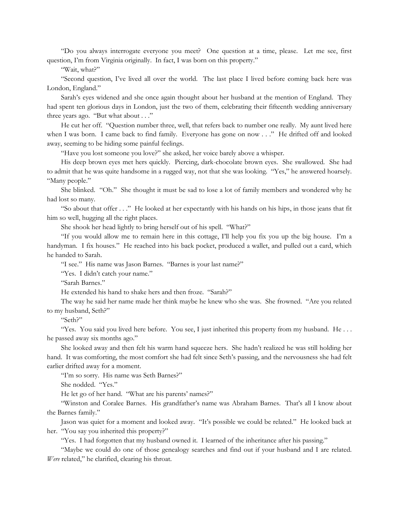"Do you always interrogate everyone you meet? One question at a time, please. Let me see, first question, I'm from Virginia originally. In fact, I was born on this property."

"Wait, what?"

"Second question, I've lived all over the world. The last place I lived before coming back here was London, England."

Sarah's eyes widened and she once again thought about her husband at the mention of England. They had spent ten glorious days in London, just the two of them, celebrating their fifteenth wedding anniversary three years ago. "But what about . . ."

He cut her off. "Question number three, well, that refers back to number one really. My aunt lived here when I was born. I came back to find family. Everyone has gone on now . . ." He drifted off and looked away, seeming to be hiding some painful feelings.

"Have you lost someone you love?" she asked, her voice barely above a whisper.

His deep brown eyes met hers quickly. Piercing, dark-chocolate brown eyes. She swallowed. She had to admit that he was quite handsome in a rugged way, not that she was looking. "Yes," he answered hoarsely. "Many people."

She blinked. "Oh." She thought it must be sad to lose a lot of family members and wondered why he had lost so many.

"So about that offer . . ." He looked at her expectantly with his hands on his hips, in those jeans that fit him so well, hugging all the right places.

She shook her head lightly to bring herself out of his spell. "What?"

"If you would allow me to remain here in this cottage, I'll help you fix you up the big house. I'm a handyman. I fix houses." He reached into his back pocket, produced a wallet, and pulled out a card, which he handed to Sarah.

"I see." His name was Jason Barnes. "Barnes is your last name?"

"Yes. I didn't catch your name."

"Sarah Barnes."

He extended his hand to shake hers and then froze. "Sarah?"

The way he said her name made her think maybe he knew who she was. She frowned. "Are you related to my husband, Seth?"

"Seth?"

"Yes. You said you lived here before. You see, I just inherited this property from my husband. He . . . he passed away six months ago."

She looked away and then felt his warm hand squeeze hers. She hadn't realized he was still holding her hand. It was comforting, the most comfort she had felt since Seth's passing, and the nervousness she had felt earlier drifted away for a moment.

"I'm so sorry. His name was Seth Barnes?"

She nodded. "Yes."

He let go of her hand. "What are his parents' names?"

"Winston and Coralee Barnes. His grandfather's name was Abraham Barnes. That's all I know about the Barnes family."

Jason was quiet for a moment and looked away. "It's possible we could be related." He looked back at her. "You say you inherited this property?"

"Yes. I had forgotten that my husband owned it. I learned of the inheritance after his passing."

"Maybe we could do one of those genealogy searches and find out if your husband and I are related. *Were* related," he clarified, clearing his throat.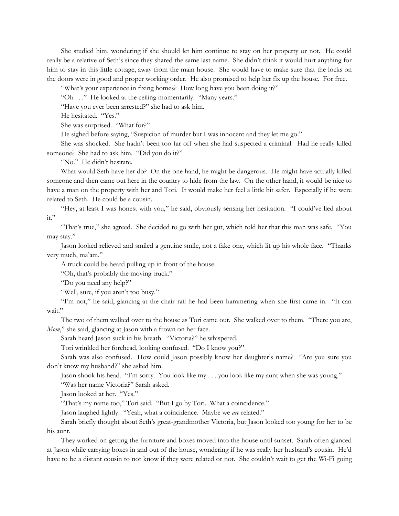She studied him, wondering if she should let him continue to stay on her property or not. He could really be a relative of Seth's since they shared the same last name. She didn't think it would hurt anything for him to stay in this little cottage, away from the main house. She would have to make sure that the locks on the doors were in good and proper working order. He also promised to help her fix up the house. For free.

"What's your experience in fixing homes? How long have you been doing it?"

"Oh . . ." He looked at the ceiling momentarily. "Many years."

"Have you ever been arrested?" she had to ask him.

He hesitated. "Yes."

She was surprised. "What for?"

He sighed before saying, "Suspicion of murder but I was innocent and they let me go."

She was shocked. She hadn't been too far off when she had suspected a criminal. Had he really killed someone? She had to ask him. "Did you do it?"

"No." He didn't hesitate.

What would Seth have her do? On the one hand, he might be dangerous. He might have actually killed someone and then came out here in the country to hide from the law. On the other hand, it would be nice to have a man on the property with her and Tori. It would make her feel a little bit safer. Especially if he were related to Seth. He could be a cousin.

"Hey, at least I was honest with you," he said, obviously sensing her hesitation. "I could've lied about it."

"That's true," she agreed. She decided to go with her gut, which told her that this man was safe. "You may stay."

Jason looked relieved and smiled a genuine smile, not a fake one, which lit up his whole face. "Thanks very much, ma'am."

A truck could be heard pulling up in front of the house.

"Oh, that's probably the moving truck."

"Do you need any help?"

"Well, sure, if you aren't too busy."

"I'm not," he said, glancing at the chair rail he had been hammering when she first came in. "It can wait."

The two of them walked over to the house as Tori came out. She walked over to them. "There you are, *Mom*," she said, glancing at Jason with a frown on her face.

Sarah heard Jason suck in his breath. "Victoria?" he whispered.

Tori wrinkled her forehead, looking confused. "Do I know you?"

Sarah was also confused. How could Jason possibly know her daughter's name? "Are you sure you don't know my husband?" she asked him.

Jason shook his head. "I'm sorry. You look like my . . . you look like my aunt when she was young."

"Was her name Victoria?" Sarah asked.

Jason looked at her. "Yes."

"That's my name too," Tori said. "But I go by Tori. What a coincidence."

Jason laughed lightly. "Yeah, what a coincidence. Maybe we *are* related."

Sarah briefly thought about Seth's great-grandmother Victoria, but Jason looked too young for her to be his aunt.

They worked on getting the furniture and boxes moved into the house until sunset. Sarah often glanced at Jason while carrying boxes in and out of the house, wondering if he was really her husband's cousin. He'd have to be a distant cousin to not know if they were related or not. She couldn't wait to get the Wi-Fi going